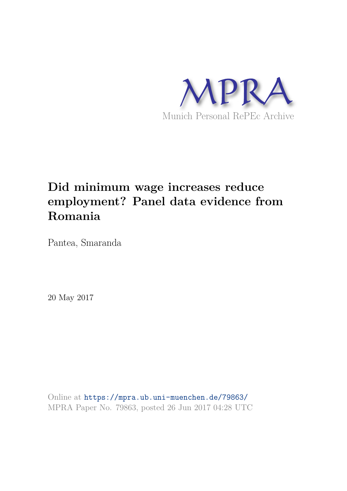

# **Did minimum wage increases reduce employment? Panel data evidence from Romania**

Pantea, Smaranda

20 May 2017

Online at https://mpra.ub.uni-muenchen.de/79863/ MPRA Paper No. 79863, posted 26 Jun 2017 04:28 UTC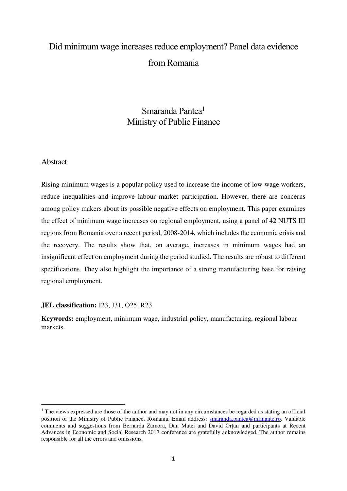# Did minimum wage increases reduce employment? Panel data evidence from Romania

# Smaranda Pantea<sup>1</sup> Ministry of Public Finance

## Abstract

 $\overline{a}$ 

Rising minimum wages is a popular policy used to increase the income of low wage workers, reduce inequalities and improve labour market participation. However, there are concerns among policy makers about its possible negative effects on employment. This paper examines the effect of minimum wage increases on regional employment, using a panel of 42 NUTS III regions from Romania over a recent period, 2008-2014, which includes the economic crisis and the recovery. The results show that, on average, increases in minimum wages had an insignificant effect on employment during the period studied. The results are robust to different specifications. They also highlight the importance of a strong manufacturing base for raising regional employment.

## **JEL classification:** J23, J31, O25, R23.

**Keywords:** employment, minimum wage, industrial policy, manufacturing, regional labour markets.

<sup>&</sup>lt;sup>1</sup> The views expressed are those of the author and may not in any circumstances be regarded as stating an official position of the Ministry of Public Finance, Romania. Email address: [smaranda.pantea@mfinante.ro.](mailto:smaranda.pantea@mfinante.ro) Valuable comments and suggestions from Bernarda Zamora, Dan Matei and David Orțan and participants at Recent Advances in Economic and Social Research 2017 conference are gratefully acknowledged. The author remains responsible for all the errors and omissions.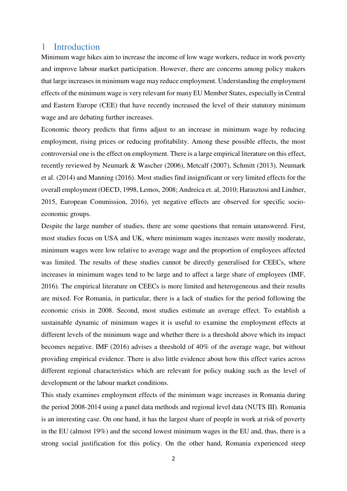## 1 Introduction

Minimum wage hikes aim to increase the income of low wage workers, reduce in work poverty and improve labour market participation. However, there are concerns among policy makers that large increases in minimum wage may reduce employment. Understanding the employment effects of the minimum wage is very relevant for many EU Member States, especially in Central and Eastern Europe (CEE) that have recently increased the level of their statutory minimum wage and are debating further increases.

Economic theory predicts that firms adjust to an increase in minimum wage by reducing employment, rising prices or reducing profitability. Among these possible effects, the most controversial one is the effect on employment. There is a large empirical literature on this effect, recently reviewed by Neumark & Wascher (2006), Metcalf (2007), Schmitt (2013), Neumark et al. (2014) and Manning (2016). Most studies find insignificant or very limited effects for the overall employment (OECD, 1998, Lemos, 2008; Andreica et. al, 2010; Harasztosi and Lindner, 2015, European Commission, 2016), yet negative effects are observed for specific socioeconomic groups.

Despite the large number of studies, there are some questions that remain unanswered. First, most studies focus on USA and UK, where minimum wages increases were mostly moderate, minimum wages were low relative to average wage and the proportion of employees affected was limited. The results of these studies cannot be directly generalised for CEECs, where increases in minimum wages tend to be large and to affect a large share of employees (IMF, 2016). The empirical literature on CEECs is more limited and heterogeneous and their results are mixed. For Romania, in particular, there is a lack of studies for the period following the economic crisis in 2008. Second, most studies estimate an average effect. To establish a sustainable dynamic of minimum wages it is useful to examine the employment effects at different levels of the minimum wage and whether there is a threshold above which its impact becomes negative. IMF (2016) advises a threshold of 40% of the average wage, but without providing empirical evidence. There is also little evidence about how this effect varies across different regional characteristics which are relevant for policy making such as the level of development or the labour market conditions.

This study examines employment effects of the minimum wage increases in Romania during the period 2008-2014 using a panel data methods and regional level data (NUTS III). Romania is an interesting case. On one hand, it has the largest share of people in work at risk of poverty in the EU (almost 19%) and the second lowest minimum wages in the EU and, thus, there is a strong social justification for this policy. On the other hand, Romania experienced steep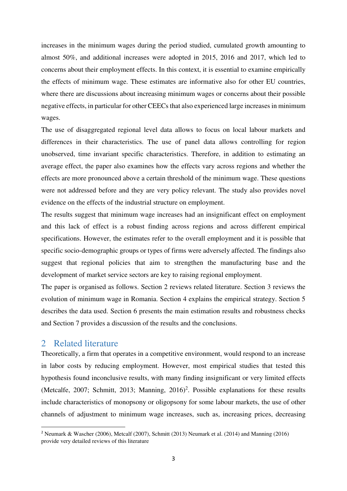increases in the minimum wages during the period studied, cumulated growth amounting to almost 50%, and additional increases were adopted in 2015, 2016 and 2017, which led to concerns about their employment effects. In this context, it is essential to examine empirically the effects of minimum wage. These estimates are informative also for other EU countries, where there are discussions about increasing minimum wages or concerns about their possible negative effects, in particular for other CEECs that also experienced large increases in minimum wages.

The use of disaggregated regional level data allows to focus on local labour markets and differences in their characteristics. The use of panel data allows controlling for region unobserved, time invariant specific characteristics. Therefore, in addition to estimating an average effect, the paper also examines how the effects vary across regions and whether the effects are more pronounced above a certain threshold of the minimum wage. These questions were not addressed before and they are very policy relevant. The study also provides novel evidence on the effects of the industrial structure on employment.

The results suggest that minimum wage increases had an insignificant effect on employment and this lack of effect is a robust finding across regions and across different empirical specifications. However, the estimates refer to the overall employment and it is possible that specific socio-demographic groups or types of firms were adversely affected. The findings also suggest that regional policies that aim to strengthen the manufacturing base and the development of market service sectors are key to raising regional employment.

The paper is organised as follows. Section 2 reviews related literature. Section 3 reviews the evolution of minimum wage in Romania. Section 4 explains the empirical strategy. Section 5 describes the data used. Section 6 presents the main estimation results and robustness checks and Section 7 provides a discussion of the results and the conclusions.

# 2 Related literature

 $\overline{a}$ 

Theoretically, a firm that operates in a competitive environment, would respond to an increase in labor costs by reducing employment. However, most empirical studies that tested this hypothesis found inconclusive results, with many finding insignificant or very limited effects (Metcalfe, 2007; Schmitt, 2013; Manning, 2016)<sup>2</sup>. Possible explanations for these results include characteristics of monopsony or oligopsony for some labour markets, the use of other channels of adjustment to minimum wage increases, such as, increasing prices, decreasing

<sup>2</sup> Neumark & Wascher (2006), Metcalf (2007), Schmitt (2013) Neumark et al. (2014) and Manning (2016) provide very detailed reviews of this literature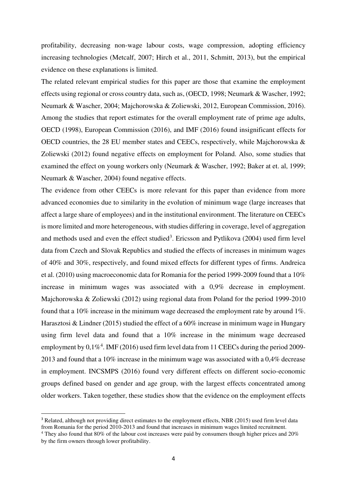profitability, decreasing non-wage labour costs, wage compression, adopting efficiency increasing technologies (Metcalf, 2007; Hirch et al., 2011, Schmitt, 2013), but the empirical evidence on these explanations is limited.

The related relevant empirical studies for this paper are those that examine the employment effects using regional or cross country data, such as, (OECD, 1998; Neumark & Wascher, 1992; Neumark & Wascher, 2004; Majchorowska & Zoliewski, 2012, European Commission, 2016). Among the studies that report estimates for the overall employment rate of prime age adults, OECD (1998), European Commission (2016), and IMF (2016) found insignificant effects for OECD countries, the 28 EU member states and CEECs, respectively, while Majchorowska & Zoliewski (2012) found negative effects on employment for Poland. Also, some studies that examined the effect on young workers only (Neumark & Wascher, 1992; Baker at et. al, 1999; Neumark & Wascher, 2004) found negative effects.

The evidence from other CEECs is more relevant for this paper than evidence from more advanced economies due to similarity in the evolution of minimum wage (large increases that affect a large share of employees) and in the institutional environment. The literature on CEECs is more limited and more heterogeneous, with studies differing in coverage, level of aggregation and methods used and even the effect studied<sup>3</sup>. Ericsson and Pytlikova (2004) used firm level data from Czech and Slovak Republics and studied the effects of increases in minimum wages of 40% and 30%, respectively, and found mixed effects for different types of firms. Andreica et al. (2010) using macroeconomic data for Romania for the period 1999-2009 found that a 10% increase in minimum wages was associated with a 0,9% decrease in employment. Majchorowska & Zoliewski (2012) using regional data from Poland for the period 1999-2010 found that a 10% increase in the minimum wage decreased the employment rate by around 1%. Harasztosi & Lindner (2015) studied the effect of a 60% increase in minimum wage in Hungary using firm level data and found that a 10% increase in the minimum wage decreased employment by  $0,1\%$ <sup>4</sup>. IMF (2016) used firm level data from 11 CEECs during the period 2009-2013 and found that a 10% increase in the minimum wage was associated with a 0,4% decrease in employment. INCSMPS (2016) found very different effects on different socio-economic groups defined based on gender and age group, with the largest effects concentrated among older workers. Taken together, these studies show that the evidence on the employment effects

 $\overline{a}$ 

<sup>&</sup>lt;sup>3</sup> Related, although not providing direct estimates to the employment effects, NBR (2015) used firm level data from Romania for the period 2010-2013 and found that increases in minimum wages limited recruitment.

<sup>&</sup>lt;sup>4</sup> They also found that 80% of the labour cost increases were paid by consumers though higher prices and 20% by the firm owners through lower profitability.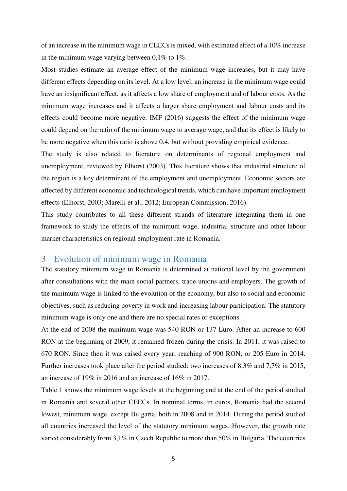of an increase in the minimum wage in CEECs is mixed, with estimated effect of a 10% increase in the minimum wage varying between  $0.1\%$  to  $1\%$ .

Most studies estimate an average effect of the minimum wage increases, but it may have different effects depending on its level. At a low level, an increase in the minimum wage could have an insignificant effect, as it affects a low share of employment and of labour costs. As the minimum wage increases and it affects a larger share employment and labour costs and its effects could become more negative. IMF (2016) suggests the effect of the minimum wage could depend on the ratio of the minimum wage to average wage, and that its effect is likely to be more negative when this ratio is above 0.4, but without providing empirical evidence.

The study is also related to literature on determinants of regional employment and unemployment, reviewed by Elhorst (2003). This literature shows that industrial structure of the region is a key determinant of the employment and unemployment. Economic sectors are affected by different economic and technological trends, which can have important employment effects (Elhorst, 2003; Marelli et al., 2012; European Commission, 2016).

This study contributes to all these different strands of literature integrating them in one framework to study the effects of the minimum wage, industrial structure and other labour market characteristics on regional employment rate in Romania.

## 3 Evolution of minimum wage in Romania

The statutory minimum wage in Romania is determined at national level by the government after consultations with the main social partners, trade unions and employers. The growth of the minimum wage is linked to the evolution of the economy, but also to social and economic objectives, such as reducing poverty in work and increasing labour participation. The statutory minimum wage is only one and there are no special rates or exceptions.

At the end of 2008 the minimum wage was 540 RON or 137 Euro. After an increase to 600 RON at the beginning of 2009, it remained frozen during the crisis. In 2011, it was raised to 670 RON. Since then it was raised every year, reaching of 900 RON, or 205 Euro in 2014. Further increases took place after the period studied: two increases of 8,3% and 7,7% in 2015, an increase of 19% in 2016 and an increase of 16% in 2017.

[Table 1](#page-15-0) shows the minimum wage levels at the beginning and at the end of the period studied in Romania and several other CEECs. In nominal terms, in euros, Romania had the second lowest, minimum wage, except Bulgaria, both in 2008 and in 2014. During the period studied all countries increased the level of the statutory minimum wages. However, the growth rate varied considerably from 3,1% in Czech Republic to more than 50% in Bulgaria. The countries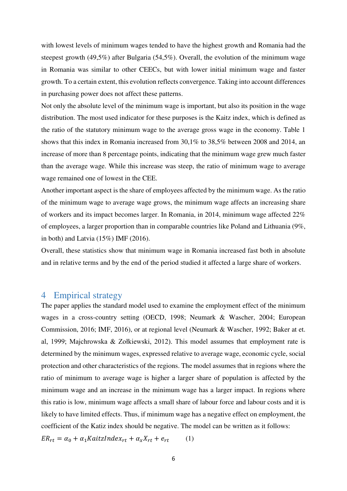with lowest levels of minimum wages tended to have the highest growth and Romania had the steepest growth (49,5%) after Bulgaria (54,5%). Overall, the evolution of the minimum wage in Romania was similar to other CEECs, but with lower initial minimum wage and faster growth. To a certain extent, this evolution reflects convergence. Taking into account differences in purchasing power does not affect these patterns.

Not only the absolute level of the minimum wage is important, but also its position in the wage distribution. The most used indicator for these purposes is the Kaitz index, which is defined as the ratio of the statutory minimum wage to the average gross wage in the economy. Table 1 shows that this index in Romania increased from 30,1% to 38,5% between 2008 and 2014, an increase of more than 8 percentage points, indicating that the minimum wage grew much faster than the average wage. While this increase was steep, the ratio of minimum wage to average wage remained one of lowest in the CEE.

Another important aspect is the share of employees affected by the minimum wage. As the ratio of the minimum wage to average wage grows, the minimum wage affects an increasing share of workers and its impact becomes larger. In Romania, in 2014, minimum wage affected 22% of employees, a larger proportion than in comparable countries like Poland and Lithuania (9%, in both) and Latvia (15%) IMF (2016).

Overall, these statistics show that minimum wage in Romania increased fast both in absolute and in relative terms and by the end of the period studied it affected a large share of workers.

## 4 Empirical strategy

The paper applies the standard model used to examine the employment effect of the minimum wages in a cross-country setting (OECD, 1998; Neumark & Wascher, 2004; European Commission, 2016; IMF, 2016), or at regional level (Neumark & Wascher, 1992; Baker at et. al, 1999; Majchrowska & Zołkiewski, 2012). This model assumes that employment rate is determined by the minimum wages, expressed relative to average wage, economic cycle, social protection and other characteristics of the regions. The model assumes that in regions where the ratio of minimum to average wage is higher a larger share of population is affected by the minimum wage and an increase in the minimum wage has a larger impact. In regions where this ratio is low, minimum wage affects a small share of labour force and labour costs and it is likely to have limited effects. Thus, if minimum wage has a negative effect on employment, the coefficient of the Katiz index should be negative. The model can be written as it follows:

 $ER_{rt} = \alpha_0 + \alpha_1 KaitzIndex_{rt} + \alpha_x X_{rt} + e_{rt}$  (1)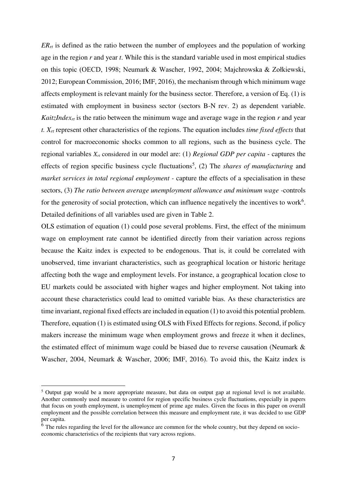$ER_{rt}$  is defined as the ratio between the number of employees and the population of working age in the region *r* and year *t*. While this is the standard variable used in most empirical studies on this topic (OECD, 1998; Neumark & Wascher, 1992, 2004; Majchrowska & Zołkiewski, 2012; European Commission, 2016; IMF, 2016), the mechanism through which minimum wage affects employment is relevant mainly for the business sector. Therefore, a version of Eq. (1) is estimated with employment in business sector (sectors B-N rev. 2) as dependent variable. *KaitzIndexrt* is the ratio between the minimum wage and average wage in the region *r* and year *t. Xrt* represent other characteristics of the regions. The equation includes *time fixed effects* that control for macroeconomic shocks common to all regions, such as the business cycle. The regional variables *Xrt* considered in our model are: (1) *Regional GDP per capita -* captures the effects of region specific business cycle fluctuations<sup>5</sup>, (2) The *shares of manufacturing* and *market services in total regional employment - capture the effects of a specialisation in these* sectors, (3) *The ratio between average unemployment allowance and minimum wage -*controls for the generosity of social protection, which can influence negatively the incentives to work<sup>6</sup>. Detailed definitions of all variables used are given in Table 2.

OLS estimation of equation (1) could pose several problems. First, the effect of the minimum wage on employment rate cannot be identified directly from their variation across regions because the Kaitz index is expected to be endogenous. That is, it could be correlated with unobserved, time invariant characteristics, such as geographical location or historic heritage affecting both the wage and employment levels. For instance, a geographical location close to EU markets could be associated with higher wages and higher employment. Not taking into account these characteristics could lead to omitted variable bias. As these characteristics are time invariant, regional fixed effects are included in equation (1) to avoid this potential problem. Therefore, equation (1) is estimated using OLS with Fixed Effects for regions. Second, if policy makers increase the minimum wage when employment grows and freeze it when it declines, the estimated effect of minimum wage could be biased due to reverse causation (Neumark & Wascher, 2004, Neumark & Wascher, 2006; IMF, 2016). To avoid this, the Kaitz index is

 $\overline{a}$ 

<sup>&</sup>lt;sup>5</sup> Output gap would be a more appropriate measure, but data on output gap at regional level is not available. Another commonly used measure to control for region specific business cycle fluctuations, especially in papers that focus on youth employment, is unemployment of prime age males. Given the focus in this paper on overall employment and the possible correlation between this measure and employment rate, it was decided to use GDP per capita.

<sup>&</sup>lt;sup>6</sup> The rules regarding the level for the allowance are common for the whole country, but they depend on socioeconomic characteristics of the recipients that vary across regions.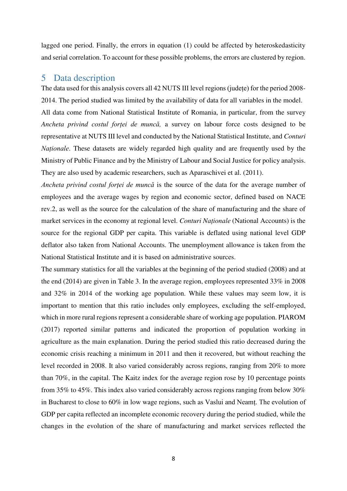lagged one period. Finally, the errors in equation (1) could be affected by heteroskedasticity and serial correlation. To account for these possible problems, the errors are clustered by region.

## 5 Data description

The data used for this analysis covers all 42 NUTS III level regions (județe) for the period 2008- 2014. The period studied was limited by the availability of data for all variables in the model. All data come from National Statistical Institute of Romania, in particular, from the survey *Ancheta privind costul forței de muncă,* a survey on labour force costs designed to be representative at NUTS III level and conducted by the National Statistical Institute, and *Conturi Naționale*. These datasets are widely regarded high quality and are frequently used by the Ministry of Public Finance and by the Ministry of Labour and Social Justice for policy analysis. They are also used by academic researchers, such as Aparaschivei et al. (2011).

*Ancheta privind costul forței de muncă* is the source of the data for the average number of employees and the average wages by region and economic sector, defined based on NACE rev.2, as well as the source for the calculation of the share of manufacturing and the share of market services in the economy at regional level. *Conturi Naționale* (National Accounts) is the source for the regional GDP per capita. This variable is deflated using national level GDP deflator also taken from National Accounts. The unemployment allowance is taken from the National Statistical Institute and it is based on administrative sources.

The summary statistics for all the variables at the beginning of the period studied (2008) and at the end (2014) are given in [Table 3.](#page-16-0) In the average region, employees represented 33% in 2008 and 32% in 2014 of the working age population. While these values may seem low, it is important to mention that this ratio includes only employees, excluding the self-employed, which in more rural regions represent a considerable share of working age population. PIAROM (2017) reported similar patterns and indicated the proportion of population working in agriculture as the main explanation. During the period studied this ratio decreased during the economic crisis reaching a minimum in 2011 and then it recovered, but without reaching the level recorded in 2008. It also varied considerably across regions, ranging from 20% to more than 70%, in the capital. The Kaitz index for the average region rose by 10 percentage points from 35% to 45%. This index also varied considerably across regions ranging from below 30% in Bucharest to close to 60% in low wage regions, such as Vaslui and Neamț. The evolution of GDP per capita reflected an incomplete economic recovery during the period studied, while the changes in the evolution of the share of manufacturing and market services reflected the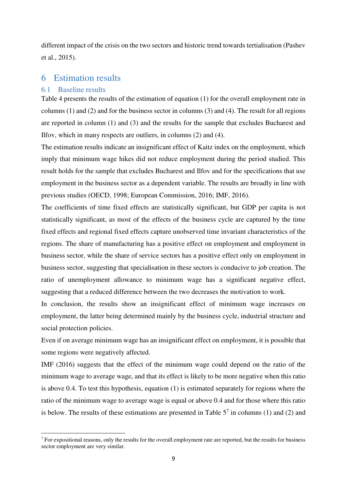different impact of the crisis on the two sectors and historic trend towards tertialisation (Pashev et al., 2015).

# 6 Estimation results

### 6.1 Baseline results

 $\overline{a}$ 

[Table 4](#page-16-1) presents the results of the estimation of equation (1) for the overall employment rate in columns (1) and (2) and for the business sector in columns (3) and (4). The result for all regions are reported in column (1) and (3) and the results for the sample that excludes Bucharest and Ilfov, which in many respects are outliers, in columns (2) and (4).

The estimation results indicate an insignificant effect of Kaitz index on the employment, which imply that minimum wage hikes did not reduce employment during the period studied. This result holds for the sample that excludes Bucharest and Ilfov and for the specifications that use employment in the business sector as a dependent variable. The results are broadly in line with previous studies (OECD, 1998; European Commission, 2016; IMF, 2016).

The coefficients of time fixed effects are statistically significant, but GDP per capita is not statistically significant, as most of the effects of the business cycle are captured by the time fixed effects and regional fixed effects capture unobserved time invariant characteristics of the regions. The share of manufacturing has a positive effect on employment and employment in business sector, while the share of service sectors has a positive effect only on employment in business sector, suggesting that specialisation in these sectors is conducive to job creation. The ratio of unemployment allowance to minimum wage has a significant negative effect, suggesting that a reduced difference between the two decreases the motivation to work.

In conclusion, the results show an insignificant effect of minimum wage increases on employment, the latter being determined mainly by the business cycle, industrial structure and social protection policies.

Even if on average minimum wage has an insignificant effect on employment, it is possible that some regions were negatively affected.

IMF (2016) suggests that the effect of the minimum wage could depend on the ratio of the minimum wage to average wage, and that its effect is likely to be more negative when this ratio is above 0.4. To test this hypothesis, equation (1) is estimated separately for regions where the ratio of the minimum wage to average wage is equal or above 0.4 and for those where this ratio is below. The results of these estimations are presented in Table  $5<sup>7</sup>$  in columns (1) and (2) and

 $<sup>7</sup>$  For expositional reasons, only the results for the overall employment rate are reported, but the results for business</sup> sector employment are very similar.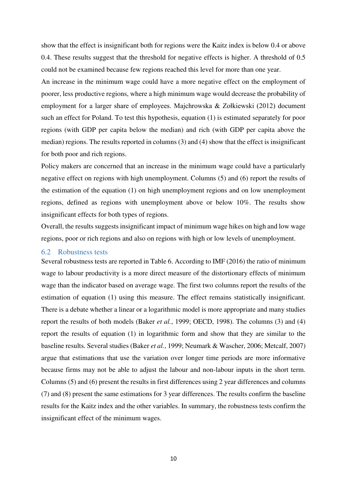show that the effect is insignificant both for regions were the Kaitz index is below 0.4 or above 0.4. These results suggest that the threshold for negative effects is higher. A threshold of 0.5 could not be examined because few regions reached this level for more than one year.

An increase in the minimum wage could have a more negative effect on the employment of poorer, less productive regions, where a high minimum wage would decrease the probability of employment for a larger share of employees. Majchrowska & Zołkiewski (2012) document such an effect for Poland. To test this hypothesis, equation (1) is estimated separately for poor regions (with GDP per capita below the median) and rich (with GDP per capita above the median) regions. The results reported in columns (3) and (4) show that the effect is insignificant for both poor and rich regions.

Policy makers are concerned that an increase in the minimum wage could have a particularly negative effect on regions with high unemployment. Columns (5) and (6) report the results of the estimation of the equation (1) on high unemployment regions and on low unemployment regions, defined as regions with unemployment above or below 10%. The results show insignificant effects for both types of regions.

Overall, the results suggests insignificant impact of minimum wage hikes on high and low wage regions, poor or rich regions and also on regions with high or low levels of unemployment.

#### 6.2 Robustness tests

Several robustness tests are reported in [Table 6.](#page-18-0) According to IMF (2016) the ratio of minimum wage to labour productivity is a more direct measure of the distortionary effects of minimum wage than the indicator based on average wage. The first two columns report the results of the estimation of equation (1) using this measure. The effect remains statistically insignificant. There is a debate whether a linear or a logarithmic model is more appropriate and many studies report the results of both models (Baker *et al.*, 1999; OECD, 1998). The columns (3) and (4) report the results of equation (1) in logarithmic form and show that they are similar to the baseline results. Several studies (Baker *et al.*, 1999; Neumark & Wascher, 2006; Metcalf, 2007) argue that estimations that use the variation over longer time periods are more informative because firms may not be able to adjust the labour and non-labour inputs in the short term. Columns (5) and (6) present the results in first differences using 2 year differences and columns (7) and (8) present the same estimations for 3 year differences. The results confirm the baseline results for the Kaitz index and the other variables. In summary, the robustness tests confirm the insignificant effect of the minimum wages.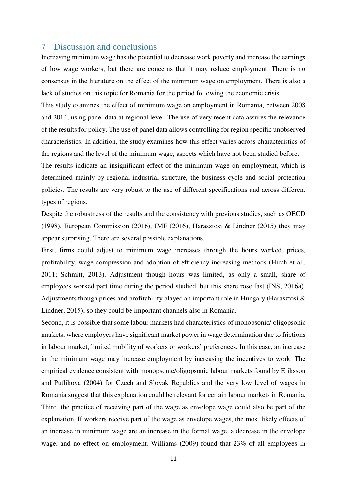## 7 Discussion and conclusions

Increasing minimum wage has the potential to decrease work poverty and increase the earnings of low wage workers, but there are concerns that it may reduce employment. There is no consensus in the literature on the effect of the minimum wage on employment. There is also a lack of studies on this topic for Romania for the period following the economic crisis.

This study examines the effect of minimum wage on employment in Romania, between 2008 and 2014, using panel data at regional level. The use of very recent data assures the relevance of the results for policy. The use of panel data allows controlling for region specific unobserved characteristics. In addition, the study examines how this effect varies across characteristics of the regions and the level of the minimum wage, aspects which have not been studied before.

The results indicate an insignificant effect of the minimum wage on employment, which is determined mainly by regional industrial structure, the business cycle and social protection policies. The results are very robust to the use of different specifications and across different types of regions.

Despite the robustness of the results and the consistency with previous studies, such as OECD (1998), European Commission (2016), IMF (2016), Harasztosi & Lindner (2015) they may appear surprising. There are several possible explanations.

First, firms could adjust to minimum wage increases through the hours worked, prices, profitability, wage compression and adoption of efficiency increasing methods (Hirch et al., 2011; Schmitt, 2013). Adjustment though hours was limited, as only a small, share of employees worked part time during the period studied, but this share rose fast (INS, 2016a). Adjustments though prices and profitability played an important role in Hungary (Harasztosi  $\&$ Lindner, 2015), so they could be important channels also in Romania.

Second, it is possible that some labour markets had characteristics of monopsonic/ oligopsonic markets, where employers have significant market power in wage determination due to frictions in labour market, limited mobility of workers or workers' preferences. In this case, an increase in the minimum wage may increase employment by increasing the incentives to work. The empirical evidence consistent with monopsonic/oligopsonic labour markets found by Eriksson and Putlikova (2004) for Czech and Slovak Republics and the very low level of wages in Romania suggest that this explanation could be relevant for certain labour markets in Romania. Third, the practice of receiving part of the wage as envelope wage could also be part of the explanation. If workers receive part of the wage as envelope wages, the most likely effects of an increase in minimum wage are an increase in the formal wage, a decrease in the envelope wage, and no effect on employment. Williams (2009) found that 23% of all employees in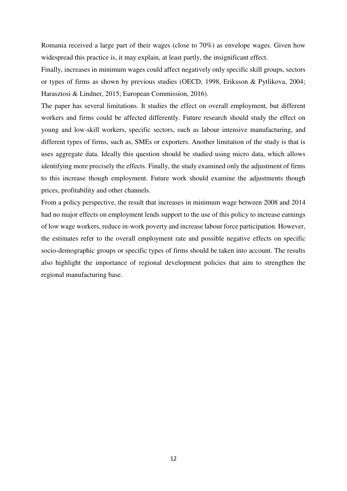Romania received a large part of their wages (close to 70%) as envelope wages. Given how widespread this practice is, it may explain, at least partly, the insignificant effect.

Finally, increases in minimum wages could affect negatively only specific skill groups, sectors or types of firms as shown by previous studies (OECD, 1998, Eriksson & Pytlikova, 2004; Harasztosi & Lindner, 2015; European Commission, 2016).

The paper has several limitations. It studies the effect on overall employment, but different workers and firms could be affected differently. Future research should study the effect on young and low-skill workers, specific sectors, such as labour intensive manufacturing, and different types of firms, such as, SMEs or exporters. Another limitation of the study is that is uses aggregate data. Ideally this question should be studied using micro data, which allows identifying more precisely the effects. Finally, the study examined only the adjustment of firms to this increase though employment. Future work should examine the adjustments though prices, profitability and other channels.

From a policy perspective, the result that increases in minimum wage between 2008 and 2014 had no major effects on employment lends support to the use of this policy to increase earnings of low wage workers, reduce in-work poverty and increase labour force participation. However, the estimates refer to the overall employment rate and possible negative effects on specific socio-demographic groups or specific types of firms should be taken into account. The results also highlight the importance of regional development policies that aim to strengthen the regional manufacturing base.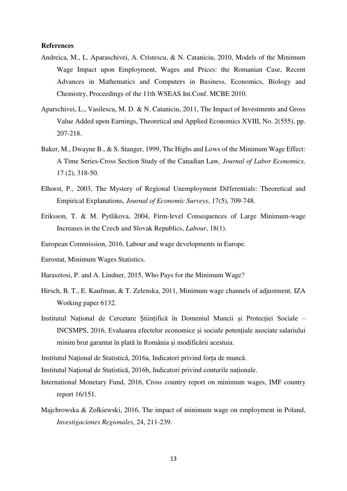#### **References**

- Andreica, M., L. Aparaschivei, A. Cristescu, & N. Cataniciu, 2010, Models of the Minimum Wage Impact upon Employment, Wages and Prices: the Romanian Case, Recent Advances in Mathematics and Computers in Business, Economics, Biology and Chemistry, Proceedings of the 11th WSEAS Int.Conf. MCBE 2010.
- Aparschivei, L., Vasilescu, M. D. & N. Cataniciu, 2011, The Impact of Investments and Gross Value Added upon Earnings, Theoretical and Applied Economics XVIII, No. 2(555), pp. 207-218.
- Baker, M., Dwayne B., & S. Stanger, 1999, The Highs and Lows of the Minimum Wage Effect: A Time Series-Cross Section Study of the Canadian Law*, Journal of Labor Economics,* 17 (2), 318-50.
- Elhorst, P., 2003, The Mystery of Regional Unemployment Differentials: Theoretical and Empirical Explanations, *Journal of Economic Surveys*, 17(5), 709-748.
- Eriksson, T. & M. Pytlikova, 2004, Firm-level Consequences of Large Minimum-wage Increases in the Czech and Slovak Republics, *Labour*, 18(1).
- European Commission, 2016, Labour and wage developments in Europe.
- Eurostat, Minimum Wages Statistics.
- Harasztosi, P. and A. Lindner, 2015, Who Pays for the Minimum Wage?
- Hirsch, B. T., E. Kaufman, & T. Zelenska, 2011, Minimum wage channels of adjustment. IZA Working paper 6132.
- Institutul Național de Cercetare Științifică în Domeniul Muncii și Protecției Sociale INCSMPS, 2016, Evaluarea efectelor economice și sociale potențiale asociate salariului minim brut garantat în plată în România și modificării acestuia.
- Institutul Naţional de Statistică, 2016a, Indicatori privind forța de muncă.

Institutul Naţional de Statistică, 2016b, Indicatori privind conturile naționale.

- International Monetary Fund, 2016, Cross country report on minimum wages, IMF country report 16/151.
- Majchrowska & Zołkiewski, 2016, The impact of minimum wage on employment in Poland, *Investigaciones Regionales*, 24, 211-239.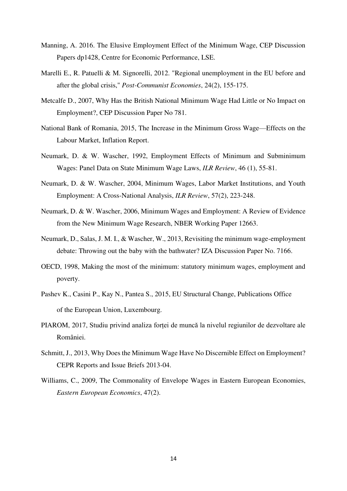- Manning, A. 2016. The Elusive Employment Effect of the Minimum Wage, CEP Discussion Papers dp1428, Centre for Economic Performance, LSE.
- Marelli E., R. Patuelli & M. Signorelli, 2012. "Regional unemployment in the EU before and after the global crisis," *Post-Communist Economies*, 24(2), 155-175.
- Metcalfe D., 2007, Why Has the British National Minimum Wage Had Little or No Impact on Employment?, CEP Discussion Paper No 781.
- National Bank of Romania, 2015, The Increase in the Minimum Gross Wage—Effects on the Labour Market, Inflation Report.
- Neumark, D. & W. Wascher, 1992, Employment Effects of Minimum and Subminimum Wages: Panel Data on State Minimum Wage Laws, *ILR Review*, 46 (1), 55-81.
- Neumark, D. & W. Wascher, 2004, Minimum Wages, Labor Market Institutions, and Youth Employment: A Cross-National Analysis, *ILR Review*, 57(2), 223-248.
- Neumark, D. & W. Wascher, 2006, Minimum Wages and Employment: A Review of Evidence from the New Minimum Wage Research, NBER Working Paper 12663.
- Neumark, D., Salas, J. M. I., & Wascher, W., 2013, Revisiting the minimum wage-employment debate: Throwing out the baby with the bathwater? IZA Discussion Paper No. 7166.
- OECD, 1998, Making the most of the minimum: statutory minimum wages, employment and poverty.
- Pashev K., Casini P., Kay N., Pantea S., 2015, EU Structural Change, Publications Office of the European Union, Luxembourg.
- PIAROM, 2017, Studiu privind analiza forței de muncă la nivelul regiunilor de dezvoltare ale României.
- Schmitt, J., 2013, Why Does the Minimum Wage Have No Discernible Effect on Employment? CEPR Reports and Issue Briefs 2013-04.
- Williams, C., 2009, The Commonality of Envelope Wages in Eastern European Economies, *Eastern European Economics*, 47(2).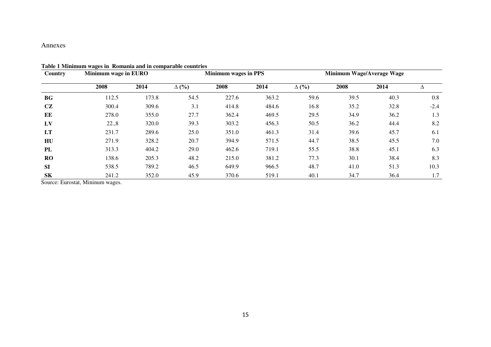#### Annexes

| Country   | Minimum wage in EURO |       | Minimum wages in PPS |       |       | Minimum Wage/Average Wage |      |      |        |
|-----------|----------------------|-------|----------------------|-------|-------|---------------------------|------|------|--------|
|           | 2008                 | 2014  | $\Delta$ (%)         | 2008  | 2014  | $\Delta$ (%)              | 2008 | 2014 |        |
| <b>BG</b> | 112.5                | 173.8 | 54.5                 | 227.6 | 363.2 | 59.6                      | 39.5 | 40.3 | 0.8    |
| CZ        | 300.4                | 309.6 | 3.1                  | 414.8 | 484.6 | 16.8                      | 35.2 | 32.8 | $-2.4$ |
| ЕE        | 278.0                | 355.0 | 27.7                 | 362.4 | 469.5 | 29.5                      | 34.9 | 36.2 | 1.3    |
| LV        | 22.,8                | 320.0 | 39.3                 | 303.2 | 456.3 | 50.5                      | 36.2 | 44.4 | 8.2    |
| LT        | 231.7                | 289.6 | 25.0                 | 351.0 | 461.3 | 31.4                      | 39.6 | 45.7 | 6.1    |
| HU        | 271.9                | 328.2 | 20.7                 | 394.9 | 571.5 | 44.7                      | 38.5 | 45.5 | 7.0    |
| PL        | 313.3                | 404.2 | 29.0                 | 462.6 | 719.1 | 55.5                      | 38.8 | 45.1 | 6.3    |
| RO        | 138.6                | 205.3 | 48.2                 | 215.0 | 381.2 | 77.3                      | 30.1 | 38.4 | 8.3    |
| <b>SI</b> | 538.5                | 789.2 | 46.5                 | 649.9 | 966.5 | 48.7                      | 41.0 | 51.3 | 10.3   |
| <b>SK</b> | 241.2                | 352.0 | 45.9                 | 370.6 | 519.1 | 40.1                      | 34.7 | 36.4 | 1.7    |

#### **Table 1 Minimum wages in Romania and in comparable countries**

<span id="page-15-0"></span>Source: Eurostat, Mininum wages.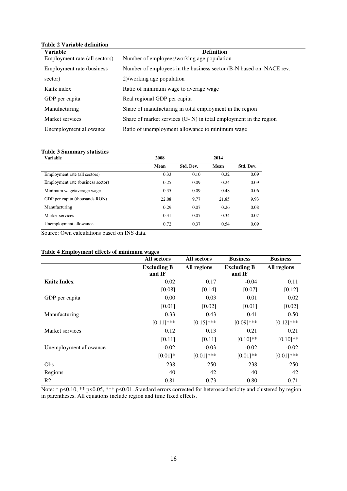| <b>Variable</b>               | <b>Definition</b>                                                    |
|-------------------------------|----------------------------------------------------------------------|
| Employment rate (all sectors) | Number of employees/working age population                           |
| Employment rate (business)    | Number of employees in the business sector (B-N based on NACE rev.   |
| sector)                       | 2)/working age population                                            |
| Kaitz index                   | Ratio of minimum wage to average wage                                |
| GDP per capita                | Real regional GDP per capita                                         |
| Manufacturing                 | Share of manufacturing in total employment in the region             |
| Market services               | Share of market services $(G - N)$ in total employment in the region |
| Unemployment allowance        | Ratio of unemployment allowance to minimum wage                      |

### **Table 2 Variable definition**

#### <span id="page-16-0"></span>**Table 3 Summary statistics**

| <b>Variable</b>                   | 2008  |           | 2014  |           |  |
|-----------------------------------|-------|-----------|-------|-----------|--|
|                                   | Mean  | Std. Dev. | Mean  | Std. Dev. |  |
| Employment rate (all sectors)     | 0.33  | 0.10      | 0.32  | 0.09      |  |
| Employment rate (business sector) | 0.25  | 0.09      | 0.24  | 0.09      |  |
| Minimum wage/average wage         | 0.35  | 0.09      | 0.48  | 0.06      |  |
| GDP per capita (thousands RON)    | 22.08 | 9.77      | 21.85 | 9.93      |  |
| Manufacturing                     | 0.29  | 0.07      | 0.26  | 0.08      |  |
| Market services                   | 0.31  | 0.07      | 0.34  | 0.07      |  |
| Unemployment allowance            | 0.72  | 0.37      | 0.54  | 0.09      |  |

Source: Own calculations based on INS data.

#### <span id="page-16-1"></span>**Table 4 Employment effects of minimum wages**

|                        | All sectors                  | All sectors  | <b>Business</b>              | <b>Business</b> |
|------------------------|------------------------------|--------------|------------------------------|-----------------|
|                        | <b>Excluding B</b><br>and IF | All regions  | <b>Excluding B</b><br>and IF | All regions     |
| <b>Kaitz Index</b>     | 0.02                         | 0.17         | $-0.04$                      | 0.11            |
|                        | [0.08]                       | [0.14]       | [0.07]                       | [0.12]          |
| GDP per capita         | 0.00                         | 0.03         | 0.01                         | 0.02            |
|                        | [0.01]                       | [0.02]       | [0.01]                       | [0.02]          |
| Manufacturing          | 0.33                         | 0.43         | 0.41                         | 0.50            |
|                        | $[0.11]$ ***                 | $[0.15]$ *** | $[0.09]$ ***                 | $[0.12]$ ***    |
| Market services        | 0.12                         | 0.13         | 0.21                         | 0.21            |
|                        | [0.11]                       | [0.11]       | $[0.10]$ **                  | $[0.10]$ **     |
| Unemployment allowance | $-0.02$                      | $-0.03$      | $-0.02$                      | $-0.02$         |
|                        | $[0.01]*$                    | $[0.01]$ *** | $[0.01]**$                   | $[0.01]$ ***    |
| <b>Obs</b>             | 238                          | 250          | 238                          | 250             |
| Regions                | 40                           | 42           | 40                           | 42              |
| R <sub>2</sub>         | 0.81                         | 0.73         | 0.80                         | 0.71            |

Note: \* p<0.10, \*\* p<0.05, \*\*\* p<0.01. Standard errors corrected for heteroscedasticity and clustered by region in parentheses. All equations include region and time fixed effects.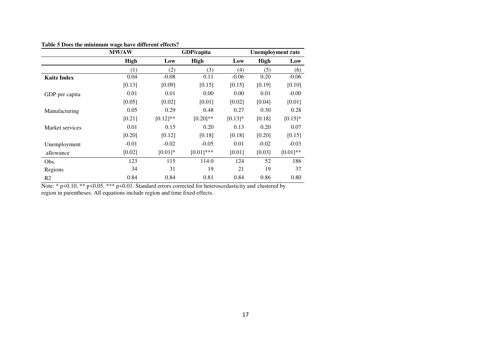|                    | -<br><b>MW/AW</b> |             | GDP/capita   |           |             | <b>Unemployment rate</b> |
|--------------------|-------------------|-------------|--------------|-----------|-------------|--------------------------|
|                    | <b>High</b>       | Low         | <b>High</b>  | Low       | <b>High</b> | Low                      |
|                    | (1)               | (2)         | (3)          | (4)       | (5)         | (6)                      |
| <b>Kaitz Index</b> | 0.04              | $-0.08$     | 0.11         | $-0.06$   | 0.20        | $-0.06$                  |
|                    | [0.13]            | [0.09]      | [0.15]       | [0.15]    | [0.19]      | [0.10]                   |
| GDP per capita     | 0.01              | 0.01        | 0.00         | 0.00      | 0.01        | $-0.00$                  |
|                    | [0.05]            | [0.02]      | [0.01]       | [0.02]    | [0.04]      | [0.01]                   |
| Manufacturing      | 0.05              | 0.29        | 0.48         | 0.27      | 0.30        | 0.28                     |
|                    | [0.21]            | $[0.12]$ ** | $[0.20]$ **  | $[0.13]*$ | [0.18]      | $[0.15]*$                |
| Market services    | 0.01              | 0.15        | 0.20         | 0.13      | 0.20        | 0.07                     |
|                    | [0.20]            | [0.12]      | [0.18]       | [0.18]    | [0.20]      | [0.15]                   |
| Unemployment       | $-0.01$           | $-0.02$     | $-0.05$      | 0.01      | $-0.02$     | $-0.03$                  |
| allowance          | [0.02]            | $[0.01]*$   | $[0.01]$ *** | [0.01]    | [0.03]      | $[0.01]**$               |
| Obs.               | 123               | 115         | 114.0        | 124       | 52          | 186                      |
| Regions            | 34                | 31          | 19           | 21        | 19          | 37                       |
| R <sub>2</sub>     | 0.84              | 0.84        | 0.81         | 0.84      | 0.86        | 0.80                     |

#### **Table 5 Does the minimum wage have different effects?**

<span id="page-17-0"></span>Note: \* p<0.10, \*\* p<0.05, \*\*\* p<0.01. Standard errors corrected for heteroscedasticity and clustered by region in parentheses. All equations include region and time fixed effects.